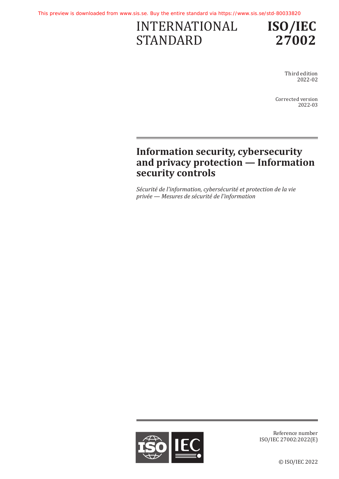# INTERNATIONAL STANDARD

**ISO/IEC 27002**

> Third edition 2022-02

Corrected version 2022-03

## **Information security, cybersecurity and privacy protection — Information security controls**

*Sécurité de l'information, cybersécurité et protection de la vie privée — Mesures de sécurité de l'information*



Reference number ISO/IEC 27002:2022(E)

© ISO/IEC 2022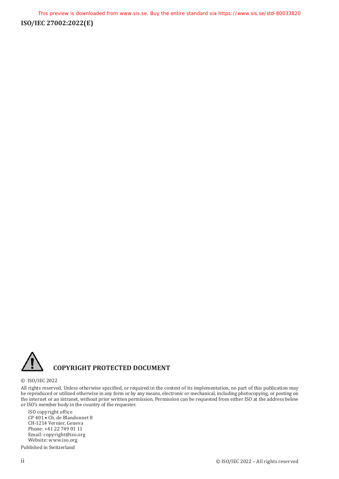This preview is downloaded from www.sis.se. Buy the entire standard via https://www.sis.se/std-80033820

**ISO/IEC 27002:2022(E)**



## **COPYRIGHT PROTECTED DOCUMENT**

#### © ISO/IEC 2022

All rights reserved. Unless otherwise specified, or required in the context of its implementation, no part of this publication may be reproduced or utilized otherwise in any form or by any means, electronic or mechanical, including photocopying, or posting on the internet or an intranet, without prior written permission. Permission can be requested from either ISO at the address below or ISO's member body in the country of the requester.

ISO copyright office CP 401 • Ch. de Blandonnet 8 CH-1214 Vernier, Geneva Phone: +41 22 749 01 11 Email: copyright@iso.org Website: www.iso.org

Published in Switzerland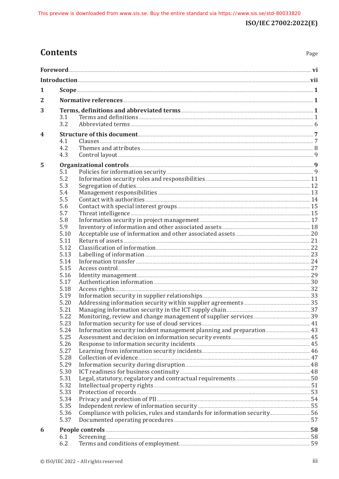## **Contents**

| 1 |              |                                                                                                                                                                                                                                     |  |  |  |
|---|--------------|-------------------------------------------------------------------------------------------------------------------------------------------------------------------------------------------------------------------------------------|--|--|--|
| 2 |              |                                                                                                                                                                                                                                     |  |  |  |
| 3 |              |                                                                                                                                                                                                                                     |  |  |  |
|   | 3.1          |                                                                                                                                                                                                                                     |  |  |  |
|   | 3.2          |                                                                                                                                                                                                                                     |  |  |  |
| 4 |              |                                                                                                                                                                                                                                     |  |  |  |
|   | 4.1          |                                                                                                                                                                                                                                     |  |  |  |
|   | 4.2          |                                                                                                                                                                                                                                     |  |  |  |
|   | 4.3          |                                                                                                                                                                                                                                     |  |  |  |
|   |              |                                                                                                                                                                                                                                     |  |  |  |
| 5 |              | Organizational controls <b>Exercise Controls</b> 2014 30 2015 2016                                                                                                                                                                  |  |  |  |
|   | 5.1<br>5.2   |                                                                                                                                                                                                                                     |  |  |  |
|   | 5.3          |                                                                                                                                                                                                                                     |  |  |  |
|   | 5.4          |                                                                                                                                                                                                                                     |  |  |  |
|   | 5.5          |                                                                                                                                                                                                                                     |  |  |  |
|   | 5.6          |                                                                                                                                                                                                                                     |  |  |  |
|   | 5.7          | Threat intelligence <b>continuum construction of the construction</b> of the construction of the construction of the construction of the construction of the construction of the construction of the construction of the constructi |  |  |  |
|   | 5.8          | Information security in project management <b>Election Controller and Security</b> 17                                                                                                                                               |  |  |  |
|   | 5.9          |                                                                                                                                                                                                                                     |  |  |  |
|   | 5.10         |                                                                                                                                                                                                                                     |  |  |  |
|   | 5.11         |                                                                                                                                                                                                                                     |  |  |  |
|   | 5.12         |                                                                                                                                                                                                                                     |  |  |  |
|   | 5.13         |                                                                                                                                                                                                                                     |  |  |  |
|   | 5.14         |                                                                                                                                                                                                                                     |  |  |  |
|   | 5.15         | Access control 27                                                                                                                                                                                                                   |  |  |  |
|   | 5.16         |                                                                                                                                                                                                                                     |  |  |  |
|   | 5.17         |                                                                                                                                                                                                                                     |  |  |  |
|   | 5.18<br>5.19 |                                                                                                                                                                                                                                     |  |  |  |
|   | 5.20         |                                                                                                                                                                                                                                     |  |  |  |
|   | 5.21         |                                                                                                                                                                                                                                     |  |  |  |
|   | 5.22         |                                                                                                                                                                                                                                     |  |  |  |
|   | 5.23         |                                                                                                                                                                                                                                     |  |  |  |
|   | 5.24         |                                                                                                                                                                                                                                     |  |  |  |
|   | 5.25         |                                                                                                                                                                                                                                     |  |  |  |
|   | 5.26         |                                                                                                                                                                                                                                     |  |  |  |
|   | 5.27         |                                                                                                                                                                                                                                     |  |  |  |
|   | 5.28         |                                                                                                                                                                                                                                     |  |  |  |
|   | 5.29         |                                                                                                                                                                                                                                     |  |  |  |
|   | 5.30         |                                                                                                                                                                                                                                     |  |  |  |
|   | 5.31         |                                                                                                                                                                                                                                     |  |  |  |
|   | 5.32         |                                                                                                                                                                                                                                     |  |  |  |
|   | 5.33         |                                                                                                                                                                                                                                     |  |  |  |
|   | 5.34         |                                                                                                                                                                                                                                     |  |  |  |
|   | 5.35         |                                                                                                                                                                                                                                     |  |  |  |
|   | 5.36<br>5.37 |                                                                                                                                                                                                                                     |  |  |  |
|   |              |                                                                                                                                                                                                                                     |  |  |  |
| 6 |              |                                                                                                                                                                                                                                     |  |  |  |
|   | 6.1          |                                                                                                                                                                                                                                     |  |  |  |
|   | 6.2          |                                                                                                                                                                                                                                     |  |  |  |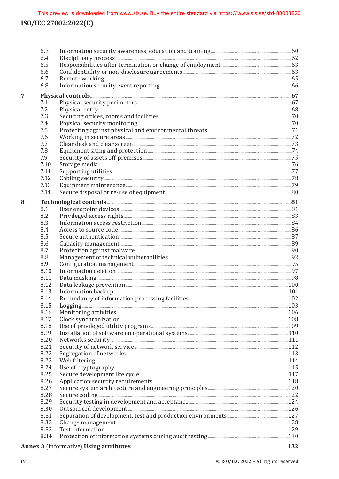|   | 6.3  |                                           |  |
|---|------|-------------------------------------------|--|
|   | 6.4  |                                           |  |
|   | 6.5  |                                           |  |
|   | 6.6  |                                           |  |
|   | 6.7  |                                           |  |
|   | 6.8  |                                           |  |
| 7 |      | Physical controls 67                      |  |
|   | 7.1  |                                           |  |
|   | 7.2  |                                           |  |
|   | 7.3  |                                           |  |
|   | 7.4  |                                           |  |
|   | 7.5  |                                           |  |
|   | 7.6  |                                           |  |
|   | 7.7  |                                           |  |
|   | 7.8  |                                           |  |
|   | 7.9  |                                           |  |
|   | 7.10 |                                           |  |
|   | 7.11 |                                           |  |
|   | 7.12 |                                           |  |
|   | 7.13 |                                           |  |
|   | 7.14 | Secure disposal or re-use of equipment 80 |  |
|   |      |                                           |  |
| 8 |      |                                           |  |
|   | 8.1  |                                           |  |
|   | 8.2  |                                           |  |
|   | 8.3  |                                           |  |
|   | 8.4  |                                           |  |
|   | 8.5  |                                           |  |
|   | 8.6  |                                           |  |
|   | 8.7  |                                           |  |
|   | 8.8  |                                           |  |
|   | 8.9  | Configuration management 55               |  |
|   | 8.10 |                                           |  |
|   | 8.11 |                                           |  |
|   | 8.12 |                                           |  |
|   | 8.13 |                                           |  |
|   | 8.14 |                                           |  |
|   | 8.15 |                                           |  |
|   | 8.16 |                                           |  |
|   | 8.17 |                                           |  |
|   | 8.18 |                                           |  |
|   | 8.19 |                                           |  |
|   | 8.20 |                                           |  |
|   | 8.21 |                                           |  |
|   | 8.22 |                                           |  |
|   | 8.23 |                                           |  |
|   | 8.24 |                                           |  |
|   | 8.25 |                                           |  |
|   | 8.26 |                                           |  |
|   | 8.27 |                                           |  |
|   | 8.28 |                                           |  |
|   | 8.29 |                                           |  |
|   | 8.30 |                                           |  |
|   | 8.31 |                                           |  |
|   | 8.32 |                                           |  |
|   | 8.33 |                                           |  |
|   | 8.34 |                                           |  |
|   |      |                                           |  |
|   |      |                                           |  |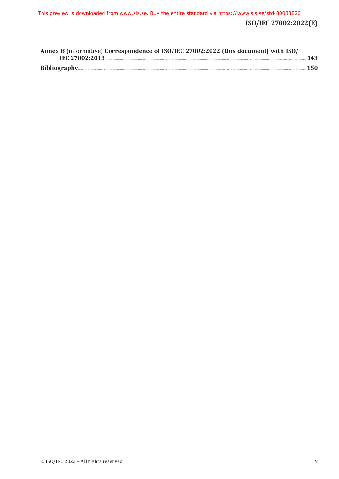**ISO/IEC 27002:2022(E)** This preview is downloaded from www.sis.se. Buy the entire standard via https://www.sis.se/std-80033820

| Annex B (informative) Correspondence of ISO/IEC 27002:2022 (this document) with ISO/ |     |
|--------------------------------------------------------------------------------------|-----|
| IEC 27002:2013                                                                       | 143 |
|                                                                                      | 150 |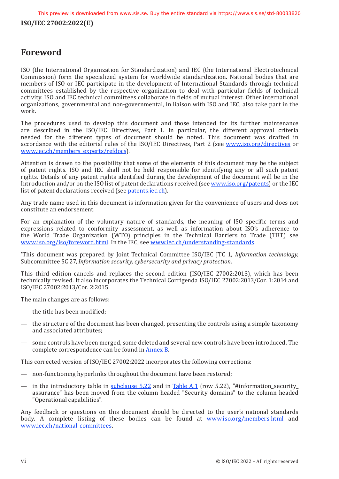## <span id="page-5-0"></span>**Foreword**

ISO (the International Organization for Standardization) and IEC (the International Electrotechnical Commission) form the specialized system for worldwide standardization. National bodies that are members of ISO or IEC participate in the development of International Standards through technical committees established by the respective organization to deal with particular fields of technical activity. ISO and IEC technical committees collaborate in fields of mutual interest. Other international organizations, governmental and non-governmental, in liaison with ISO and IEC, also take part in the work.

The procedures used to develop this document and those intended for its further maintenance are described in the ISO/IEC Directives, Part 1. In particular, the different approval criteria needed for the different types of document should be noted. This document was drafted in accordance with the editorial rules of the ISO/IEC Directives, Part 2 (see [www.iso.org/directives](https://www.iso.org/directives) or [www.iec.ch/members\\_experts/refdocs](https://www.iec.ch/members_experts/refdocs)).

Attention is drawn to the possibility that some of the elements of this document may be the subject of patent rights. ISO and IEC shall not be held responsible for identifying any or all such patent rights. Details of any patent rights identified during the development of the document will be in the Introduction and/or on the ISO list of patent declarations received (see [www.iso.org/patents](https://www.iso.org/iso-standards-and-patents.html)) or the IEC list of patent declarations received (see [patents.iec.ch](https://patents.iec.ch)).

Any trade name used in this document is information given for the convenience of users and does not constitute an endorsement.

For an explanation of the voluntary nature of standards, the meaning of ISO specific terms and expressions related to conformity assessment, as well as information about ISO's adherence to the World Trade Organization (WTO) principles in the Technical Barriers to Trade (TBT) see [www.iso.org/iso/foreword.html](https://www.iso.org/iso/foreword.html). In the IEC, see [www.iec.ch/understanding-standards](https://www.iec.ch/understanding-standards).

'This document was prepared by Joint Technical Committee ISO/IEC JTC 1, *Information technology*, Subcommittee SC 27, *Information security, cybersecurity and privacy protection*.

This third edition cancels and replaces the second edition (ISO/IEC 27002:2013), which has been technically revised. It also incorporates the Technical Corrigenda ISO/IEC 27002:2013/Cor. 1:2014 and ISO/IEC 27002:2013/Cor. 2:2015.

The main changes are as follows:

- the title has been modified:
- the structure of the document has been changed, presenting the controls using a simple taxonomy and associated attributes;
- some controls have been merged, some deleted and several new controls have been introduced. The complete correspondence can be found in Annex B.

This corrected version of ISO/IEC 27002:2022 incorporates the following corrections:

- non-functioning hyperlinks throughout the document have been restored;
- in the introductory table in subclause  $5.22$  and in Table A.1 (row 5.22), "#information\_security\_ assurance" has been moved from the column headed "Security domains" to the column headed "Operational capabilities".

Any feedback or questions on this document should be directed to the user's national standards body. A complete listing of these bodies can be found at [www.iso.org/members.html](https://www.iso.org/members.html) and [www.iec.ch/national-committees](https://www.iec.ch/national-committees).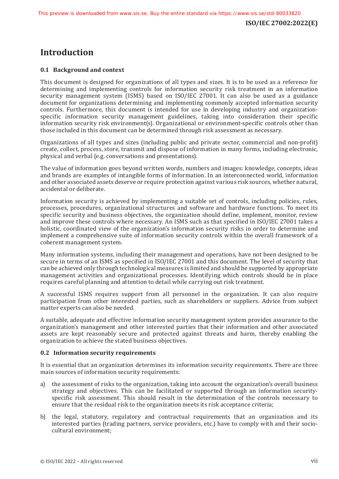## <span id="page-6-0"></span>**Introduction**

#### **0.1 Background and context**

This document is designed for organizations of all types and sizes. It is to be used as a reference for determining and implementing controls for information security risk treatment in an information security management system (ISMS) based on ISO/IEC 27001. It can also be used as a guidance document for organizations determining and implementing commonly accepted information security controls. Furthermore, this document is intended for use in developing industry and organizationspecific information security management guidelines, taking into consideration their specific information security risk environment(s). Organizational or environment-specific controls other than those included in this document can be determined through risk assessment as necessary.

Organizations of all types and sizes (including public and private sector, commercial and non-profit) create, collect, process, store, transmit and dispose of information in many forms, including electronic, physical and verbal (e.g. conversations and presentations).

The value of information goes beyond written words, numbers and images: knowledge, concepts, ideas and brands are examples of intangible forms of information. In an interconnected world, information and other associated assets deserve or require protection against various risk sources, whether natural, accidental or deliberate.

Information security is achieved by implementing a suitable set of controls, including policies, rules, processes, procedures, organizational structures and software and hardware functions. To meet its specific security and business objectives, the organization should define, implement, monitor, review and improve these controls where necessary. An ISMS such as that specified in ISO/IEC 27001 takes a holistic, coordinated view of the organization's information security risks in order to determine and implement a comprehensive suite of information security controls within the overall framework of a coherent management system.

Many information systems, including their management and operations, have not been designed to be secure in terms of an ISMS as specified in ISO/IEC 27001 and this document. The level of security that can be achieved only through technological measures is limited and should be supported by appropriate management activities and organizational processes. Identifying which controls should be in place requires careful planning and attention to detail while carrying out risk treatment.

A successful ISMS requires support from all personnel in the organization. It can also require participation from other interested parties, such as shareholders or suppliers. Advice from subject matter experts can also be needed.

A suitable, adequate and effective information security management system provides assurance to the organization's management and other interested parties that their information and other associated assets are kept reasonably secure and protected against threats and harm, thereby enabling the organization to achieve the stated business objectives.

#### **0.2 Information security requirements**

It is essential that an organization determines its information security requirements. There are three main sources of information security requirements:

- a) the assessment of risks to the organization, taking into account the organization's overall business strategy and objectives. This can be facilitated or supported through an information securityspecific risk assessment. This should result in the determination of the controls necessary to ensure that the residual risk to the organization meets its risk acceptance criteria;
- b) the legal, statutory, regulatory and contractual requirements that an organization and its interested parties (trading partners, service providers, etc.) have to comply with and their sociocultural environment;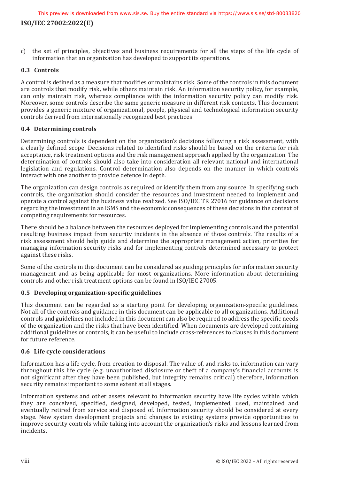c) the set of principles, objectives and business requirements for all the steps of the life cycle of information that an organization has developed to support its operations.

## **0.3 Controls**

A control is defined as a measure that modifies or maintains risk. Some of the controls in this document are controls that modify risk, while others maintain risk. An information security policy, for example, can only maintain risk, whereas compliance with the information security policy can modify risk. Moreover, some controls describe the same generic measure in different risk contexts. This document provides a generic mixture of organizational, people, physical and technological information security controls derived from internationally recognized best practices.

#### **0.4 Determining controls**

Determining controls is dependent on the organization's decisions following a risk assessment, with a clearly defined scope. Decisions related to identified risks should be based on the criteria for risk acceptance, risk treatment options and the risk management approach applied by the organization. The determination of controls should also take into consideration all relevant national and international legislation and regulations. Control determination also depends on the manner in which controls interact with one another to provide defence in depth.

The organization can design controls as required or identify them from any source. In specifying such controls, the organization should consider the resources and investment needed to implement and operate a control against the business value realized. See ISO/IEC TR 27016 for guidance on decisions regarding the investment in an ISMS and the economic consequences of these decisions in the context of competing requirements for resources.

There should be a balance between the resources deployed for implementing controls and the potential resulting business impact from security incidents in the absence of those controls. The results of a risk assessment should help guide and determine the appropriate management action, priorities for managing information security risks and for implementing controls determined necessary to protect against these risks.

Some of the controls in this document can be considered as guiding principles for information security management and as being applicable for most organizations. More information about determining controls and other risk treatment options can be found in ISO/IEC 27005.

## **0.5 Developing organization-specific guidelines**

This document can be regarded as a starting point for developing organization-specific guidelines. Not all of the controls and guidance in this document can be applicable to all organizations. Additional controls and guidelines not included in this document can also be required to address the specific needs of the organization and the risks that have been identified. When documents are developed containing additional guidelines or controls, it can be useful to include cross-references to clauses in this document for future reference.

#### **0.6 Life cycle considerations**

Information has a life cycle, from creation to disposal. The value of, and risks to, information can vary throughout this life cycle (e.g. unauthorized disclosure or theft of a company's financial accounts is not significant after they have been published, but integrity remains critical) therefore, information security remains important to some extent at all stages.

Information systems and other assets relevant to information security have life cycles within which they are conceived, specified, designed, developed, tested, implemented, used, maintained and eventually retired from service and disposed of. Information security should be considered at every stage. New system development projects and changes to existing systems provide opportunities to improve security controls while taking into account the organization's risks and lessons learned from incidents.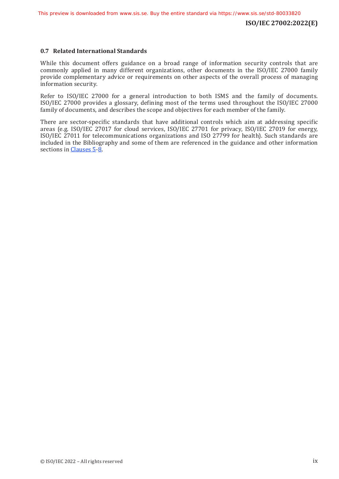#### **0.7 Related International Standards**

While this document offers guidance on a broad range of information security controls that are commonly applied in many different organizations, other documents in the ISO/IEC 27000 family provide complementary advice or requirements on other aspects of the overall process of managing information security.

Refer to ISO/IEC 27000 for a general introduction to both ISMS and the family of documents. ISO/IEC 27000 provides a glossary, defining most of the terms used throughout the ISO/IEC 27000 family of documents, and describes the scope and objectives for each member of the family.

There are sector-specific standards that have additional controls which aim at addressing specific areas (e.g. ISO/IEC 27017 for cloud services, ISO/IEC 27701 for privacy, ISO/IEC 27019 for energy, ISO/IEC 27011 for telecommunications organizations and ISO 27799 for health). Such standards are included in the Bibliography and some of them are referenced in the guidance and other information sections in [Clauses](#page-18-1) 5-8.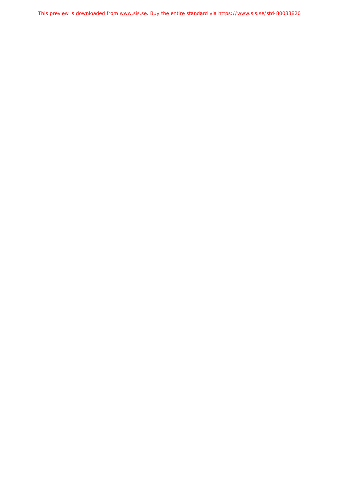This preview is downloaded from www.sis.se. Buy the entire standard via https://www.sis.se/std-80033820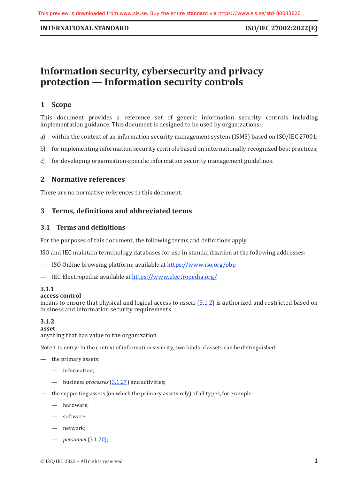#### **INTERNATIONAL STANDARD ISO/IEC 27002:2022(E)**

## **Information security, cybersecurity and privacy protection — Information security controls**

## <span id="page-10-0"></span>**1 Scope**

This document provides a reference set of generic information security controls including implementation guidance. This document is designed to be used by organizations:

- a) within the context of an information security management system (ISMS) based on ISO/IEC 27001;
- b) for implementing information security controls based on internationally recognized best practices;
- c) for developing organization-specific information security management guidelines.

## <span id="page-10-1"></span>**2 Normative references**

There are no normative references in this document.

## <span id="page-10-2"></span>**3 Terms, definitions and abbreviated terms**

#### <span id="page-10-3"></span>**3.1 Terms and definitions**

For the purposes of this document, the following terms and definitions apply.

ISO and IEC maintain terminology databases for use in standardization at the following addresses:

- ISO Online browsing platform: available at <https://www.iso.org/obp>
- IEC Electropedia: available at [https://www](https://www.electropedia.org/).electropedia.org/

#### <span id="page-10-5"></span>**3.1.1**

#### **access control**

means to ensure that physical and logical access to *assets* ([3.1.2](#page-10-4)) is authorized and restricted based on business and information security requirements

#### <span id="page-10-4"></span>**3.1.2 asset**

anything that has value to the organization

Note 1 to entry: In the context of information security, two kinds of assets can be distinguished:

- the primary assets:
	- information;
	- business *processes* ([3.1.27\)](#page-13-0) and activities;
- the supporting assets (on which the primary assets rely) of all types, for example:
	- hardware;
	- software;
	- network;
	- *personnel* ([3.1.20\)](#page-12-0);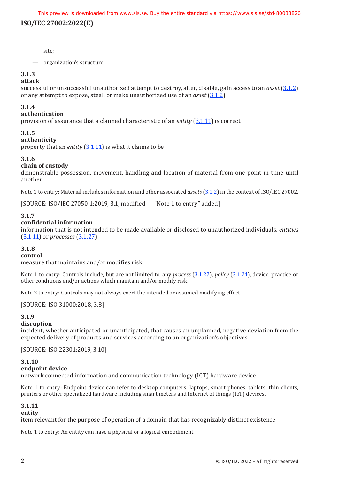— site;

— organization's structure.

## **3.1.3**

#### **attack**

successful or unsuccessful unauthorized attempt to destroy, alter, disable, gain access to an *asset* ([3.1.2](#page-10-4)) or any attempt to expose, steal, or make unauthorized use of an *asset* ([3.1.2](#page-10-4))

#### **3.1.4**

#### **authentication**

provision of assurance that a claimed characteristic of an *entity* ([3.1.11](#page-11-0)) is correct

#### **3.1.5**

#### **authenticity**

property that an *entity* ([3.1.11\)](#page-11-0) is what it claims to be

#### **3.1.6**

#### **chain of custody**

demonstrable possession, movement, handling and location of material from one point in time until another

Note 1 to entry: Material includes information and other associated *assets* ([3.1.2](#page-10-4)) in the context of ISO/IEC 27002.

[SOURCE: ISO/IEC 27050-1:2019, 3.1, modified — "Note 1 to entry" added]

#### **3.1.7**

#### **confidential information**

information that is not intended to be made available or disclosed to unauthorized individuals, *entities* ([3.1.11](#page-11-0)) or *processes* ([3.1.27](#page-13-0))

#### <span id="page-11-1"></span>**3.1.8**

#### **control**

measure that maintains and/or modifies risk

Note 1 to entry: Controls include, but are not limited to, any *process* ([3.1.27\)](#page-13-0), *policy* ([3.1.24](#page-13-1)), device, practice or other conditions and/or actions which maintain and/or modify risk.

Note 2 to entry: Controls may not always exert the intended or assumed modifying effect.

[SOURCE: ISO 31000:2018, 3.8]

#### <span id="page-11-2"></span>**3.1.9**

#### **disruption**

incident, whether anticipated or unanticipated, that causes an unplanned, negative deviation from the expected delivery of products and services according to an organization's objectives

[SOURCE: ISO 22301:2019, 3.10]

#### <span id="page-11-3"></span>**3.1.10**

#### **endpoint device**

network connected information and communication technology (ICT) hardware device

Note 1 to entry: Endpoint device can refer to desktop computers, laptops, smart phones, tablets, thin clients, printers or other specialized hardware including smart meters and Internet of things (IoT) devices.

#### <span id="page-11-0"></span>**3.1.11**

#### **entity**

item relevant for the purpose of operation of a domain that has recognizably distinct existence

Note 1 to entry: An entity can have a physical or a logical embodiment.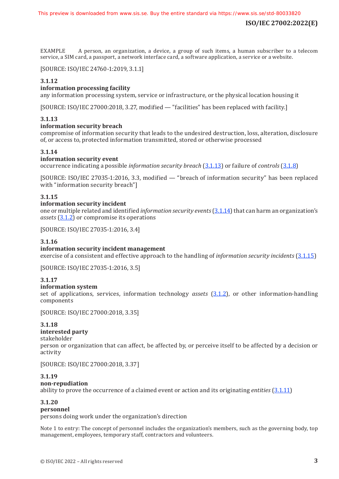EXAMPLE A person, an organization, a device, a group of such items, a human subscriber to a telecom service, a SIM card, a passport, a network interface card, a software application, a service or a website.

[SOURCE: ISO/IEC 24760-1:2019, 3.1.1]

#### **3.1.12**

#### **information processing facility**

any information processing system, service or infrastructure, or the physical location housing it

[SOURCE: ISO/IEC 27000:2018, 3.27, modified — "facilities" has been replaced with facility.]

#### <span id="page-12-1"></span>**3.1.13**

#### **information security breach**

compromise of information security that leads to the undesired destruction, loss, alteration, disclosure of, or access to, protected information transmitted, stored or otherwise processed

#### <span id="page-12-2"></span>**3.1.14**

#### **information security event**

occurrence indicating a possible *information security breach* ([3.1.13\)](#page-12-1) or failure of *controls* ([3.1.8](#page-11-1))

[SOURCE: ISO/IEC 27035-1:2016, 3.3, modified — "breach of information security" has been replaced with "information security breach"]

#### <span id="page-12-3"></span>**3.1.15**

#### **information security incident**

one or multiple related and identified *information security events* ([3.1.14](#page-12-2)) that can harm an organization's *assets* ([3.1.2\)](#page-10-4) or compromise its operations

[SOURCE: ISO/IEC 27035-1:2016, 3.4]

#### **3.1.16**

#### **information security incident management**

exercise of a consistent and effective approach to the handling of *information security incidents* ([3.1.15](#page-12-3))

[SOURCE: ISO/IEC 27035-1:2016, 3.5]

#### <span id="page-12-5"></span>**3.1.17**

#### **information system**

set of applications, services, information technology *assets* ([3.1.2](#page-10-4)), or other information-handling components

[SOURCE: ISO/IEC 27000:2018, 3.35]

#### <span id="page-12-4"></span>**3.1.18**

#### **interested party**

stakeholder

person or organization that can affect, be affected by, or perceive itself to be affected by a decision or activity

[SOURCE: ISO/IEC 27000:2018, 3.37]

#### **3.1.19**

#### **non-repudiation**

ability to prove the occurrence of a claimed event or action and its originating *entities* ([3.1.11](#page-11-0))

## <span id="page-12-0"></span>**3.1.20**

#### **personnel**

persons doing work under the organization's direction

Note 1 to entry: The concept of personnel includes the organization's members, such as the governing body, top management, employees, temporary staff, contractors and volunteers.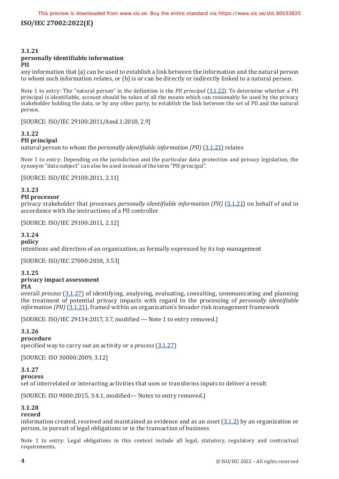#### <span id="page-13-3"></span>**3.1.21 personally identifiable information PII**

any information that (a) can be used to establish a link between the information and the natural person to whom such information relates, or (b) is or can be directly or indirectly linked to a natural person.

Note 1 to entry: The "natural person" in the definition is the *PII principal* ([3.1.22\)](#page-13-2). To determine whether a PII principal is identifiable, account should be taken of all the means which can reasonably be used by the privacy stakeholder holding the data, or by any other party, to establish the link between the set of PII and the natural person.

[SOURCE: ISO/IEC 29100:2011/Amd.1:2018, 2.9]

#### <span id="page-13-2"></span>**3.1.22 PII principal** natural person to whom the *personally identifiable information (PII)* ([3.1.21\)](#page-13-3) relates

Note 1 to entry: Depending on the jurisdiction and the particular data protection and privacy legislation, the synonym "data subject" can also be used instead of the term "PII principal".

[SOURCE: ISO/IEC 29100:2011, 2.11]

## **3.1.23**

#### **PII processor**

privacy stakeholder that processes *personally identifiable information (PII)* ([3.1.21](#page-13-3)) on behalf of and in accordance with the instructions of a PII controller

[SOURCE: ISO/IEC 29100:2011, 2.12]

#### <span id="page-13-1"></span>**3.1.24**

#### **policy**

intentions and direction of an organization, as formally expressed by its top management

[SOURCE: ISO/IEC 27000:2018, 3.53]

#### **3.1.25**

## **privacy impact assessment**

**PIA**

overall *process* ([3.1.27\)](#page-13-0) of identifying, analysing, evaluating, consulting, communicating and planning the treatment of potential privacy impacts with regard to the processing of *personally identifiable information (PII)* ([3.1.21\)](#page-13-3), framed within an organization's broader risk management framework

[SOURCE: ISO/IEC 29134:2017, 3.7, modified — Note 1 to entry removed.]

#### **3.1.26**

#### **procedure**

specified way to carry out an activity or a *process* ([3.1.27](#page-13-0))

[SOURCE: ISO 30000:2009, 3.12]

#### <span id="page-13-0"></span>**3.1.27**

#### **process**

set of interrelated or interacting activities that uses or transforms inputs to deliver a result

[SOURCE: ISO 9000:2015, 3.4.1, modified— Notes to entry removed.]

#### **3.1.28**

#### **record**

information created, received and maintained as evidence and as an *asset* ([3.1.2\)](#page-10-4) by an organization or person, in pursuit of legal obligations or in the transaction of business

Note 1 to entry: Legal obligations in this context include all legal, statutory, regulatory and contractual requirements.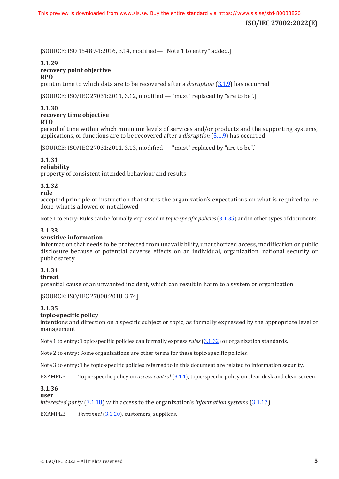[SOURCE: ISO 15489-1:2016, 3.14, modified— "Note 1 to entry" added.]

#### **3.1.29 recovery point objective RPO**

point in time to which data are to be recovered after a *disruption* ([3.1.9\)](#page-11-2) has occurred

[SOURCE: ISO/IEC 27031:2011, 3.12, modified — "must" replaced by "are to be".]

#### **3.1.30 recovery time objective RTO**

period of time within which minimum levels of services and/or products and the supporting systems, applications, or functions are to be recovered after a *disruption* ([3.1.9](#page-11-2)) has occurred

[SOURCE: ISO/IEC 27031:2011, 3.13, modified — "must" replaced by "are to be".]

#### **3.1.31**

#### **reliability**

property of consistent intended behaviour and results

#### <span id="page-14-1"></span>**3.1.32**

#### **rule**

accepted principle or instruction that states the organization's expectations on what is required to be done, what is allowed or not allowed

Note 1 to entry: Rules can be formally expressed in *topic-specific policies* ([3.1.35\)](#page-14-0) and in other types of documents.

#### **3.1.33**

#### **sensitive information**

information that needs to be protected from unavailability, unauthorized access, modification or public disclosure because of potential adverse effects on an individual, organization, national security or public safety

## <span id="page-14-2"></span>**3.1.34**

#### **threat**

potential cause of an unwanted incident, which can result in harm to a system or organization

[SOURCE: ISO/IEC 27000:2018, 3.74]

#### <span id="page-14-0"></span>**3.1.35**

#### **topic-specific policy**

intentions and direction on a specific subject or topic, as formally expressed by the appropriate level of management

Note 1 to entry: Topic-specific policies can formally express *rules* ([3.1.32\)](#page-14-1) or organization standards.

Note 2 to entry: Some organizations use other terms for these topic-specific policies.

Note 3 to entry: The topic-specific policies referred to in this document are related to information security.

EXAMPLE Topic-specific policy on *access control* ([3.1.1\)](#page-10-5), topic-specific policy on clear desk and clear screen.

## **3.1.36**

#### **user**

*interested party* ([3.1.18\)](#page-12-4) with access to the organization's *information systems* ([3.1.17](#page-12-5))

EXAMPLE *Personnel* ([3.1.20\)](#page-12-0), customers, suppliers.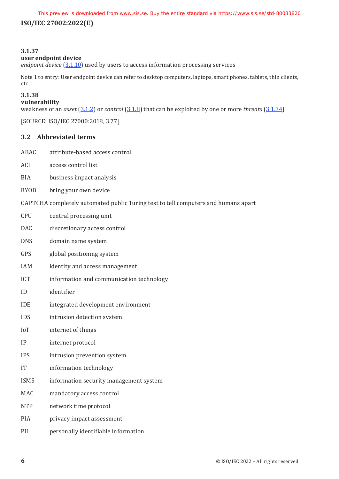#### **3.1.37**

## **user endpoint device**

*endpoint device* ([3.1.10\)](#page-11-3) used by users to access information processing services

Note 1 to entry: User endpoint device can refer to desktop computers, laptops, smart phones, tablets, thin clients, etc.

#### **3.1.38**

#### **vulnerability**

weakness of an *asset* ([3.1.2](#page-10-4)) or *control* ([3.1.8\)](#page-11-1) that can be exploited by one or more *threats* ([3.1.34](#page-14-2))

[SOURCE: ISO/IEC 27000:2018, 3.77]

#### <span id="page-15-0"></span>**3.2 Abbreviated terms**

- ABAC attribute-based access control
- ACL access control list
- BIA business impact analysis
- BYOD bring your own device

#### CAPTCHA completely automated public Turing test to tell computers and humans apart

- CPU central processing unit
- DAC discretionary access control
- DNS domain name system
- GPS global positioning system
- IAM identity and access management
- ICT information and communication technology
- ID identifier
- IDE integrated development environment
- IDS intrusion detection system
- IoT internet of things
- IP internet protocol
- IPS intrusion prevention system
- IT information technology
- ISMS information security management system
- MAC mandatory access control
- NTP network time protocol
- PIA privacy impact assessment
- PII personally identifiable information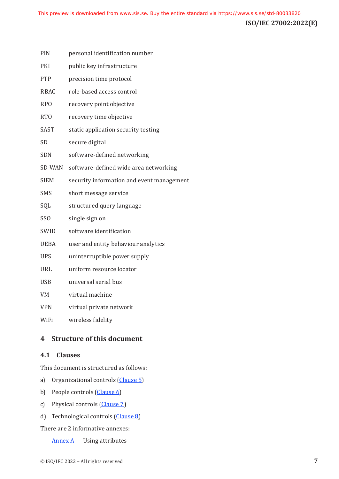| PIN             | personal identification number            |
|-----------------|-------------------------------------------|
| PKI             | public key infrastructure                 |
| PTP             | precision time protocol                   |
| <b>RBAC</b>     | role-based access control                 |
| <b>RPO</b>      | recovery point objective                  |
| <b>RTO</b>      | recovery time objective                   |
| <b>SAST</b>     | static application security testing       |
| <b>SD</b>       | secure digital                            |
| <b>SDN</b>      | software-defined networking               |
| SD-WAN          | software-defined wide area networking     |
| <b>SIEM</b>     | security information and event management |
| <b>SMS</b>      | short message service                     |
| SQL             | structured query language                 |
| SS <sub>0</sub> | single sign on                            |
| SWID            | software identification                   |
| <b>UEBA</b>     | user and entity behaviour analytics       |
| <b>UPS</b>      | uninterruptible power supply              |
| <b>URL</b>      | uniform resource locator                  |
| <b>USB</b>      | universal serial bus                      |
| <b>VM</b>       | virtual machine                           |
| <b>VPN</b>      | virtual private network                   |
| WiFi            | wireless fidelity                         |

## <span id="page-16-0"></span>**4 Structure of this document**

## <span id="page-16-1"></span>**4.1 Clauses**

This document is structured as follows:

- a) Organizational controls [\(Clause](#page-18-1) 5)
- b) People controls (Clause 6)
- c) Physical controls (Clause 7)
- d) Technological controls (Clause 8)

There are 2 informative annexes:

 $-$  Annex A – Using attributes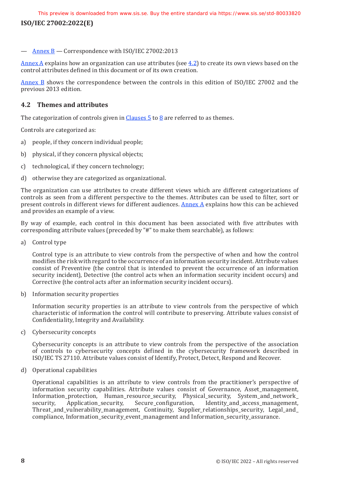Annex B — Correspondence with ISO/IEC 27002:2013

Annex A explains how an organization can use attributes (see [4.2](#page-17-0)) to create its own views based on the control attributes defined in this document or of its own creation.

Annex B shows the correspondence between the controls in this edition of ISO/IEC 27002 and the previous 2013 edition.

## <span id="page-17-0"></span>**4.2 Themes and attributes**

The categorization of controls given in [Clauses](#page-18-1) 5 to 8 are referred to as themes.

Controls are categorized as:

- a) people, if they concern individual people;
- b) physical, if they concern physical objects;
- c) technological, if they concern technology;
- d) otherwise they are categorized as organizational.

The organization can use attributes to create different views which are different categorizations of controls as seen from a different perspective to the themes. Attributes can be used to filter, sort or present controls in different views for different audiences. Annex A explains how this can be achieved and provides an example of a view.

By way of example, each control in this document has been associated with five attributes with corresponding attribute values (preceded by "#" to make them searchable), as follows:

a) Control type

Control type is an attribute to view controls from the perspective of when and how the control modifies the risk with regard to the occurrence of an information security incident. Attribute values consist of Preventive (the control that is intended to prevent the occurrence of an information security incident), Detective (the control acts when an information security incident occurs) and Corrective (the control acts after an information security incident occurs).

b) Information security properties

Information security properties is an attribute to view controls from the perspective of which characteristic of information the control will contribute to preserving. Attribute values consist of Confidentiality, Integrity and Availability.

c) Cybersecurity concepts

Cybersecurity concepts is an attribute to view controls from the perspective of the association of controls to cybersecurity concepts defined in the cybersecurity framework described in ISO/IEC TS 27110. Attribute values consist of Identify, Protect, Detect, Respond and Recover.

d) Operational capabilities

Operational capabilities is an attribute to view controls from the practitioner's perspective of information security capabilities. Attribute values consist of Governance, Asset\_management, Information\_protection, Human\_resource\_security, Physical\_security, System\_and\_network\_<br>security, Application\_security, Secure\_configuration, Identity\_and\_access\_management, Identity\_and\_access\_management, Threat and vulnerability management, Continuity, Supplier relationships security, Legal and compliance, Information\_security\_event\_management and Information\_security\_assurance.